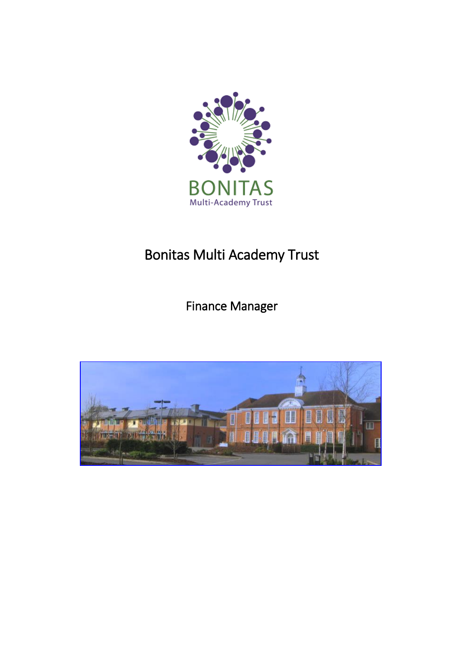

# Bonitas Multi Academy Trust

Finance Manager

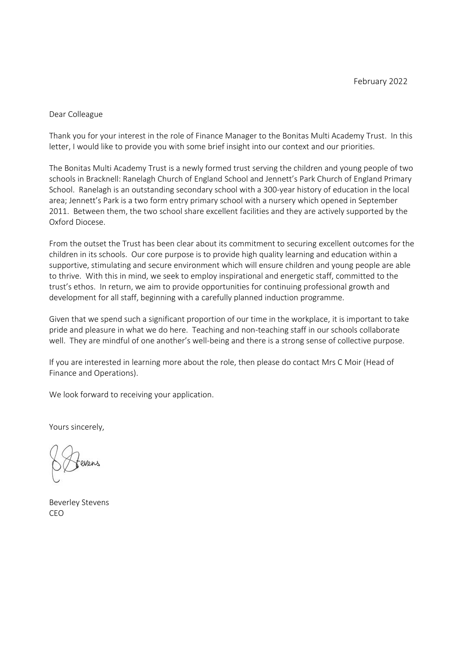#### Dear Colleague

Thank you for your interest in the role of Finance Manager to the Bonitas Multi Academy Trust. In this letter, I would like to provide you with some brief insight into our context and our priorities.

The Bonitas Multi Academy Trust is a newly formed trust serving the children and young people of two schools in Bracknell: Ranelagh Church of England School and Jennett's Park Church of England Primary School. Ranelagh is an outstanding secondary school with a 300-year history of education in the local area; Jennett's Park is a two form entry primary school with a nursery which opened in September 2011. Between them, the two school share excellent facilities and they are actively supported by the Oxford Diocese.

From the outset the Trust has been clear about its commitment to securing excellent outcomes for the children in its schools. Our core purpose is to provide high quality learning and education within a supportive, stimulating and secure environment which will ensure children and young people are able to thrive. With this in mind, we seek to employ inspirational and energetic staff, committed to the trust's ethos. In return, we aim to provide opportunities for continuing professional growth and development for all staff, beginning with a carefully planned induction programme.

Given that we spend such a significant proportion of our time in the workplace, it is important to take pride and pleasure in what we do here. Teaching and non-teaching staff in our schools collaborate well. They are mindful of one another's well-being and there is a strong sense of collective purpose.

If you are interested in learning more about the role, then please do contact Mrs C Moir (Head of Finance and Operations).

We look forward to receiving your application.

Yours sincerely,

Beverley Stevens CEO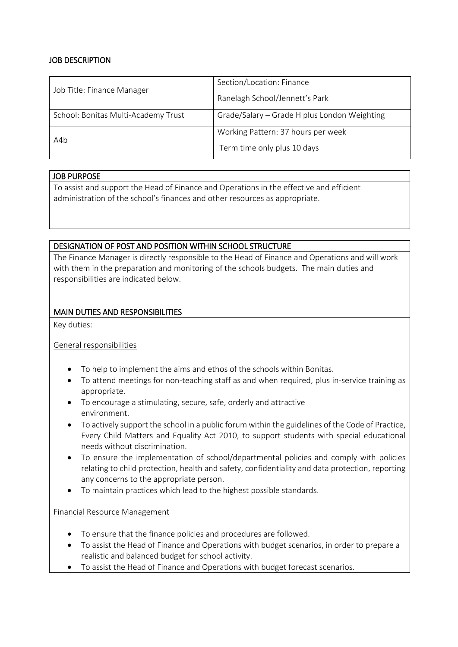## JOB DESCRIPTION

| Job Title: Finance Manager          | Section/Location: Finance                    |  |
|-------------------------------------|----------------------------------------------|--|
|                                     | Ranelagh School/Jennett's Park               |  |
| School: Bonitas Multi-Academy Trust | Grade/Salary - Grade H plus London Weighting |  |
| A4b                                 | Working Pattern: 37 hours per week           |  |
|                                     | Term time only plus 10 days                  |  |

## JOB PURPOSE

To assist and support the Head of Finance and Operations in the effective and efficient administration of the school's finances and other resources as appropriate.

## DESIGNATION OF POST AND POSITION WITHIN SCHOOL STRUCTURE

The Finance Manager is directly responsible to the Head of Finance and Operations and will work with them in the preparation and monitoring of the schools budgets. The main duties and responsibilities are indicated below.

## MAIN DUTIES AND RESPONSIBILITIES

Key duties:

General responsibilities

- To help to implement the aims and ethos of the schools within Bonitas.
- To attend meetings for non-teaching staff as and when required, plus in-service training as appropriate.
- To encourage a stimulating, secure, safe, orderly and attractive environment.
- To actively support the school in a public forum within the guidelines of the Code of Practice, Every Child Matters and Equality Act 2010, to support students with special educational needs without discrimination.
- To ensure the implementation of school/departmental policies and comply with policies relating to child protection, health and safety, confidentiality and data protection, reporting any concerns to the appropriate person.
- To maintain practices which lead to the highest possible standards.

#### Financial Resource Management

- To ensure that the finance policies and procedures are followed.
- To assist the Head of Finance and Operations with budget scenarios, in order to prepare a realistic and balanced budget for school activity.
- To assist the Head of Finance and Operations with budget forecast scenarios.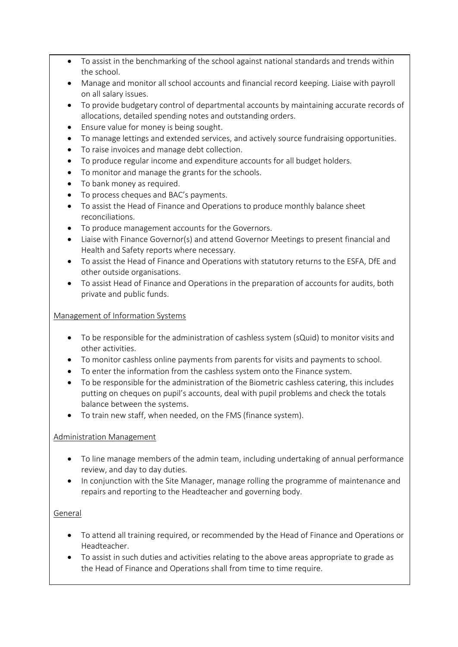- To assist in the benchmarking of the school against national standards and trends within the school.
- Manage and monitor all school accounts and financial record keeping. Liaise with payroll on all salary issues.
- To provide budgetary control of departmental accounts by maintaining accurate records of allocations, detailed spending notes and outstanding orders.
- Ensure value for money is being sought.
- To manage lettings and extended services, and actively source fundraising opportunities.
- To raise invoices and manage debt collection.
- To produce regular income and expenditure accounts for all budget holders.
- To monitor and manage the grants for the schools.
- To bank money as required.
- To process cheques and BAC's payments.
- To assist the Head of Finance and Operations to produce monthly balance sheet reconciliations.
- To produce management accounts for the Governors.
- Liaise with Finance Governor(s) and attend Governor Meetings to present financial and Health and Safety reports where necessary.
- To assist the Head of Finance and Operations with statutory returns to the ESFA, DfE and other outside organisations.
- To assist Head of Finance and Operations in the preparation of accounts for audits, both private and public funds.

## Management of Information Systems

- To be responsible for the administration of cashless system (sQuid) to monitor visits and other activities.
- To monitor cashless online payments from parents for visits and payments to school.
- To enter the information from the cashless system onto the Finance system.
- To be responsible for the administration of the Biometric cashless catering, this includes putting on cheques on pupil's accounts, deal with pupil problems and check the totals balance between the systems.
- To train new staff, when needed, on the FMS (finance system).

## Administration Management

- To line manage members of the admin team, including undertaking of annual performance review, and day to day duties.
- In conjunction with the Site Manager, manage rolling the programme of maintenance and repairs and reporting to the Headteacher and governing body.

## General

- To attend all training required, or recommended by the Head of Finance and Operations or Headteacher.
- To assist in such duties and activities relating to the above areas appropriate to grade as the Head of Finance and Operations shall from time to time require.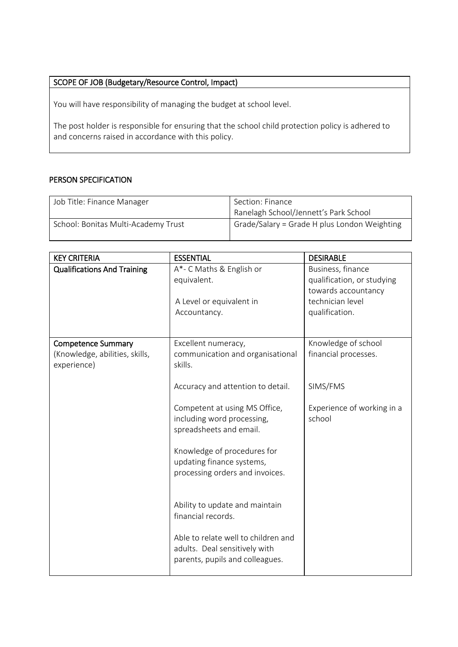## SCOPE OF JOB (Budgetary/Resource Control, Impact)

You will have responsibility of managing the budget at school level.

The post holder is responsible for ensuring that the school child protection policy is adhered to and concerns raised in accordance with this policy.

## PERSON SPECIFICATION

| Job Title: Finance Manager          | Section: Finance                             |  |
|-------------------------------------|----------------------------------------------|--|
|                                     | Ranelagh School/Jennett's Park School        |  |
| School: Bonitas Multi-Academy Trust | Grade/Salary = Grade H plus London Weighting |  |

| <b>KEY CRITERIA</b>                                                        | <b>ESSENTIAL</b>                                                                                        | <b>DESIRABLE</b>                                                       |
|----------------------------------------------------------------------------|---------------------------------------------------------------------------------------------------------|------------------------------------------------------------------------|
| <b>Qualifications And Training</b>                                         | A*- C Maths & English or<br>equivalent.                                                                 | Business, finance<br>qualification, or studying<br>towards accountancy |
|                                                                            | A Level or equivalent in<br>Accountancy.                                                                | technician level<br>qualification.                                     |
| <b>Competence Summary</b><br>(Knowledge, abilities, skills,<br>experience) | Excellent numeracy,<br>communication and organisational<br>skills.                                      | Knowledge of school<br>financial processes.                            |
|                                                                            | Accuracy and attention to detail.                                                                       | SIMS/FMS                                                               |
|                                                                            | Competent at using MS Office,<br>including word processing,<br>spreadsheets and email.                  | Experience of working in a<br>school                                   |
|                                                                            | Knowledge of procedures for<br>updating finance systems,<br>processing orders and invoices.             |                                                                        |
|                                                                            | Ability to update and maintain<br>financial records.                                                    |                                                                        |
|                                                                            | Able to relate well to children and<br>adults. Deal sensitively with<br>parents, pupils and colleagues. |                                                                        |